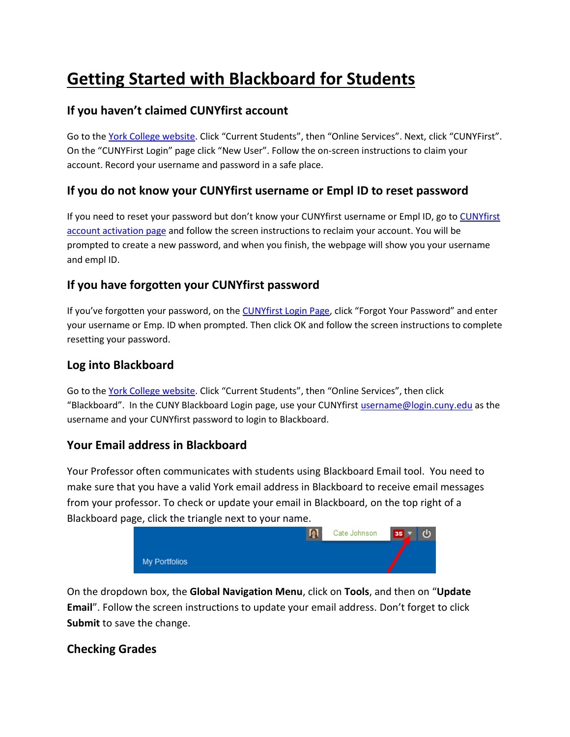# **Getting Started with Blackboard for Students**

# **If you haven't claimed CUNYfirst account**

Go to th[e York College website](https://www.york.cuny.edu/). Click "Current Students", then "Online Services". Next, click "CUNYFirst". On the "CUNYFirst Login" page click "New User". Follow the on-screen instructions to claim your account. Record your username and password in a safe place.

# **If you do not know your CUNYfirst username or Empl ID to reset password**

If you need to reset your password but don't know your CUNYfirst username or Empl ID, go to [CUNYfirst](https://impweb.cuny.edu/selfservice/activation/start.action)  [account activation](https://impweb.cuny.edu/selfservice/activation/start.action) page and follow the screen instructions to reclaim your account. You will be prompted to create a new password, and when you finish, the webpage will show you your username and empl ID.

# **If you have forgotten your CUNYfirst password**

If you've forgotten your password, on th[e CUNYfirst Login Page](https://ssologin.cuny.edu/cuny.html?resource_url=https%3A%2F%2Fhome.cunyfirst.cuny.edu%252Fpsp%252Fcnyepprd%252FEMPLOYEE%252FEMPL%252Fh%252F%3Ftab%253DDEFAULT), click "Forgot Your Password" and enter your username or Emp. ID when prompted. Then click OK and follow the screen instructions to complete resetting your password.

#### **Log into Blackboard**

Go to th[e York College website](https://www.york.cuny.edu/). Click "Current Students", then "Online Services", then click "Blackboard". In the CUNY Blackboard Login page, use your CUNYfirs[t username@login.cuny.edu](mailto:username@login.cuny.edu) as the username and your CUNYfirst password to login to Blackboard.

### **Your Email address in Blackboard**

Your Professor often communicates with students using Blackboard Email tool. You need to make sure that you have a valid York email address in Blackboard to receive email messages from your professor. To check or update your email in Blackboard, on the top right of a Blackboard page, click the triangle next to your name.



On the dropdown box, the **Global Navigation Menu**, click on **Tools**, and then on "**Update Email**". Follow the screen instructions to update your email address. Don't forget to click **Submit** to save the change.

### **Checking Grades**